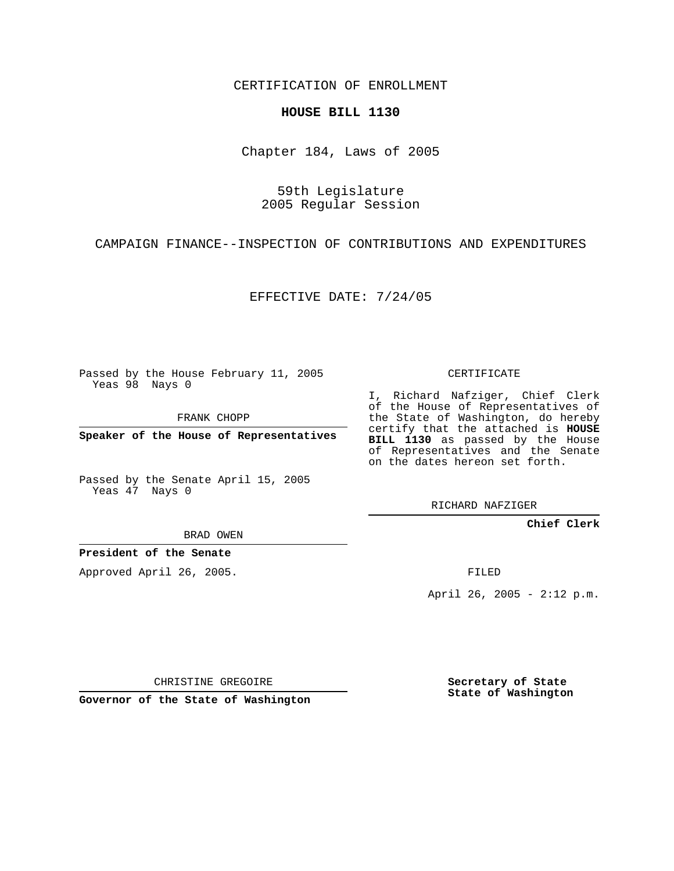CERTIFICATION OF ENROLLMENT

## **HOUSE BILL 1130**

Chapter 184, Laws of 2005

59th Legislature 2005 Regular Session

CAMPAIGN FINANCE--INSPECTION OF CONTRIBUTIONS AND EXPENDITURES

EFFECTIVE DATE: 7/24/05

Passed by the House February 11, 2005 Yeas 98 Nays 0

FRANK CHOPP

**Speaker of the House of Representatives**

Passed by the Senate April 15, 2005 Yeas 47 Nays 0

CERTIFICATE

I, Richard Nafziger, Chief Clerk of the House of Representatives of the State of Washington, do hereby certify that the attached is **HOUSE BILL 1130** as passed by the House of Representatives and the Senate on the dates hereon set forth.

RICHARD NAFZIGER

**Chief Clerk**

BRAD OWEN

**President of the Senate**

Approved April 26, 2005.

FILED

April 26, 2005 - 2:12 p.m.

CHRISTINE GREGOIRE

**Governor of the State of Washington**

**Secretary of State State of Washington**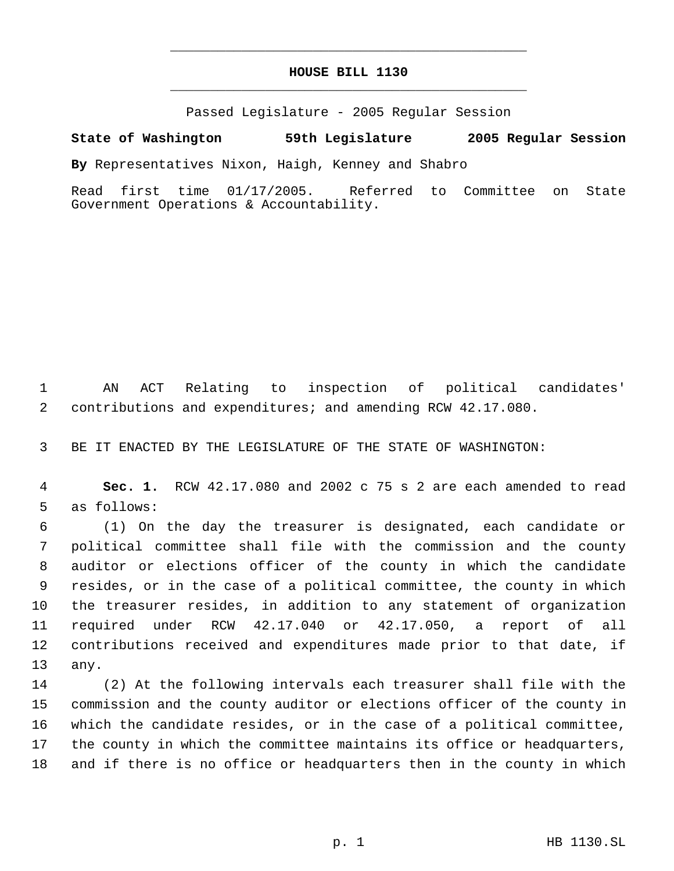## **HOUSE BILL 1130** \_\_\_\_\_\_\_\_\_\_\_\_\_\_\_\_\_\_\_\_\_\_\_\_\_\_\_\_\_\_\_\_\_\_\_\_\_\_\_\_\_\_\_\_\_

\_\_\_\_\_\_\_\_\_\_\_\_\_\_\_\_\_\_\_\_\_\_\_\_\_\_\_\_\_\_\_\_\_\_\_\_\_\_\_\_\_\_\_\_\_

Passed Legislature - 2005 Regular Session

**State of Washington 59th Legislature 2005 Regular Session**

**By** Representatives Nixon, Haigh, Kenney and Shabro

Read first time 01/17/2005. Referred to Committee on State Government Operations & Accountability.

 AN ACT Relating to inspection of political candidates' contributions and expenditures; and amending RCW 42.17.080.

BE IT ENACTED BY THE LEGISLATURE OF THE STATE OF WASHINGTON:

 **Sec. 1.** RCW 42.17.080 and 2002 c 75 s 2 are each amended to read as follows:

 (1) On the day the treasurer is designated, each candidate or political committee shall file with the commission and the county auditor or elections officer of the county in which the candidate resides, or in the case of a political committee, the county in which the treasurer resides, in addition to any statement of organization required under RCW 42.17.040 or 42.17.050, a report of all contributions received and expenditures made prior to that date, if any.

 (2) At the following intervals each treasurer shall file with the commission and the county auditor or elections officer of the county in which the candidate resides, or in the case of a political committee, the county in which the committee maintains its office or headquarters, and if there is no office or headquarters then in the county in which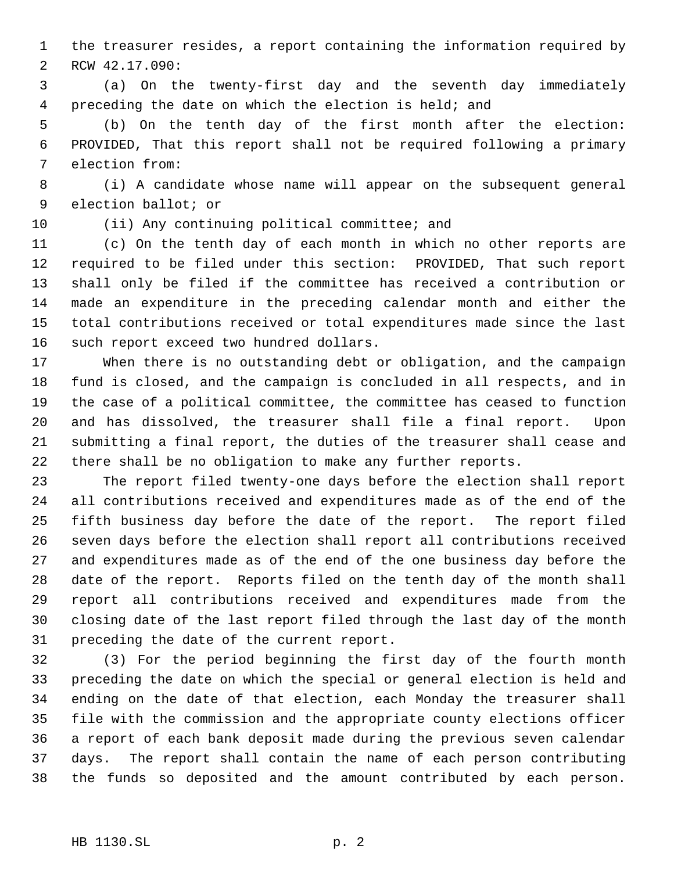the treasurer resides, a report containing the information required by RCW 42.17.090:

 (a) On the twenty-first day and the seventh day immediately preceding the date on which the election is held; and

 (b) On the tenth day of the first month after the election: PROVIDED, That this report shall not be required following a primary election from:

 (i) A candidate whose name will appear on the subsequent general election ballot; or

(ii) Any continuing political committee; and

 (c) On the tenth day of each month in which no other reports are required to be filed under this section: PROVIDED, That such report shall only be filed if the committee has received a contribution or made an expenditure in the preceding calendar month and either the total contributions received or total expenditures made since the last such report exceed two hundred dollars.

 When there is no outstanding debt or obligation, and the campaign fund is closed, and the campaign is concluded in all respects, and in the case of a political committee, the committee has ceased to function and has dissolved, the treasurer shall file a final report. Upon submitting a final report, the duties of the treasurer shall cease and there shall be no obligation to make any further reports.

 The report filed twenty-one days before the election shall report all contributions received and expenditures made as of the end of the fifth business day before the date of the report. The report filed seven days before the election shall report all contributions received and expenditures made as of the end of the one business day before the date of the report. Reports filed on the tenth day of the month shall report all contributions received and expenditures made from the closing date of the last report filed through the last day of the month preceding the date of the current report.

 (3) For the period beginning the first day of the fourth month preceding the date on which the special or general election is held and ending on the date of that election, each Monday the treasurer shall file with the commission and the appropriate county elections officer a report of each bank deposit made during the previous seven calendar days. The report shall contain the name of each person contributing the funds so deposited and the amount contributed by each person.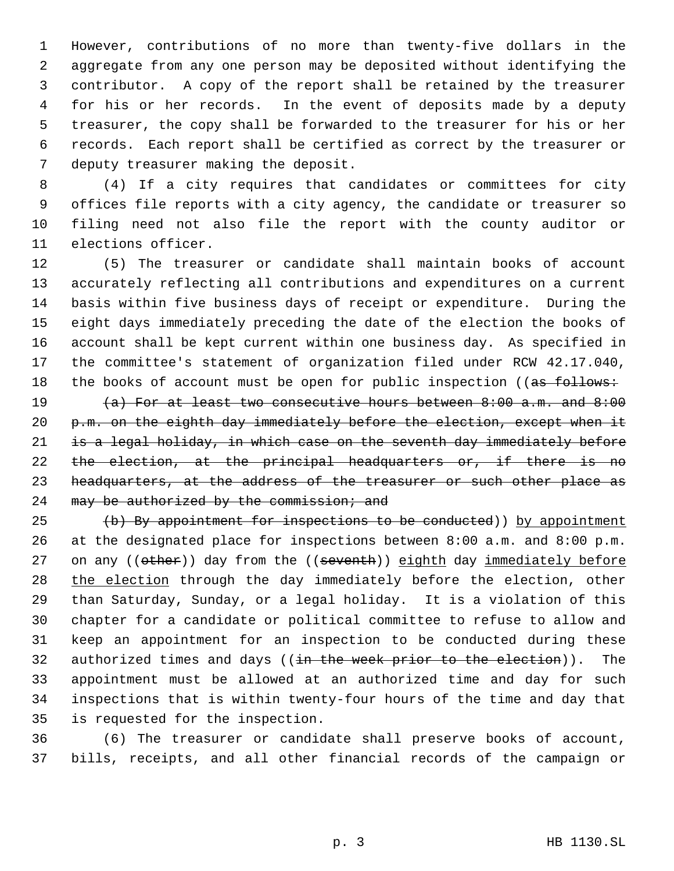However, contributions of no more than twenty-five dollars in the aggregate from any one person may be deposited without identifying the contributor. A copy of the report shall be retained by the treasurer for his or her records. In the event of deposits made by a deputy treasurer, the copy shall be forwarded to the treasurer for his or her records. Each report shall be certified as correct by the treasurer or deputy treasurer making the deposit.

 (4) If a city requires that candidates or committees for city offices file reports with a city agency, the candidate or treasurer so filing need not also file the report with the county auditor or elections officer.

 (5) The treasurer or candidate shall maintain books of account accurately reflecting all contributions and expenditures on a current basis within five business days of receipt or expenditure. During the eight days immediately preceding the date of the election the books of account shall be kept current within one business day. As specified in the committee's statement of organization filed under RCW 42.17.040, 18 the books of account must be open for public inspection ((as follows:

19  $(a)$  For at least two consecutive hours between  $8:00$  a.m. and  $8:00$ 20 p.m. on the eighth day immediately before the election, except when it 21 is a legal holiday, in which case on the seventh day immediately before 22 the election, at the principal headquarters or, if there is no 23 headquarters, at the address of the treasurer or such other place as 24 may be authorized by the commission; and

 (b) By appointment for inspections to be conducted)) by appointment at the designated place for inspections between 8:00 a.m. and 8:00 p.m. 27 on any ((other)) day from the ((seventh)) eighth day immediately before 28 the election through the day immediately before the election, other than Saturday, Sunday, or a legal holiday. It is a violation of this chapter for a candidate or political committee to refuse to allow and keep an appointment for an inspection to be conducted during these 32 authorized times and days ((in the week prior to the election)). The appointment must be allowed at an authorized time and day for such inspections that is within twenty-four hours of the time and day that is requested for the inspection.

 (6) The treasurer or candidate shall preserve books of account, bills, receipts, and all other financial records of the campaign or